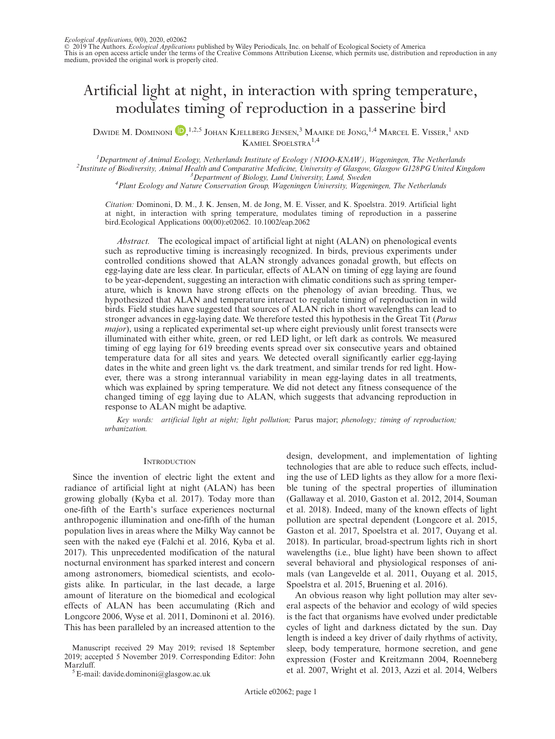# Artificial light at night, in interaction with spring temperature, modulates timing of reproduction in a passerine bird

DAV[I](https://orcid.org/0000-0003-2063-9955)DE M. DOMINONI D,<sup>1,2,5</sup> JOHAN KJELLBERG JENSEN,<sup>3</sup> MAAIKE DE JONG,<sup>1,4</sup> MARCEL E. VISSER,<sup>1</sup> AND KAMIEL SPOELSTRA<sup>1,4</sup>

<sup>1</sup> Department of Animal Ecology, Netherlands Institute of Ecology (NIOO-KNAW), Wageningen, The Netherlands<br><sup>2</sup> Institute of Picdingwity, Animal Haglik and Comparative Medicine, University of Glasgow, Glasgow G128 PG Unite <sup>2</sup> Institute of Biodiversity, Animal Health and Comparative Medicine, University of Glasgow, Glasgow G128PG United Kingdom  $\frac{3}{2}$ Department of Biology, Lund University, Lund, Sweden <sup>3</sup> Department of Biology, Lund University, Lund, Sweden<br><sup>4</sup> Plant Ecology and Nature Conservation Group, Wageningen University, Wageningen, The Netherlands

Citation: Dominoni, D. M., J. K. Jensen, M. de Jong, M. E. Visser, and K. Spoelstra. 2019. Artificial light at night, in interaction with spring temperature, modulates timing of reproduction in a passerine bird.Ecological Applications 00(00):e02062. [10.1002/eap.2062](info:doi/10.1002/eap.2062)

Abstract. The ecological impact of artificial light at night (ALAN) on phenological events such as reproductive timing is increasingly recognized. In birds, previous experiments under controlled conditions showed that ALAN strongly advances gonadal growth, but effects on egg-laying date are less clear. In particular, effects of ALAN on timing of egg laying are found to be year-dependent, suggesting an interaction with climatic conditions such as spring temperature, which is known have strong effects on the phenology of avian breeding. Thus, we hypothesized that ALAN and temperature interact to regulate timing of reproduction in wild birds. Field studies have suggested that sources of ALAN rich in short wavelengths can lead to stronger advances in egg-laying date. We therefore tested this hypothesis in the Great Tit (Parus major), using a replicated experimental set-up where eight previously unlit forest transects were illuminated with either white, green, or red LED light, or left dark as controls. We measured timing of egg laying for 619 breeding events spread over six consecutive years and obtained temperature data for all sites and years. We detected overall significantly earlier egg-laying dates in the white and green light vs. the dark treatment, and similar trends for red light. However, there was a strong interannual variability in mean egg-laying dates in all treatments, which was explained by spring temperature. We did not detect any fitness consequence of the changed timing of egg laying due to ALAN, which suggests that advancing reproduction in response to ALAN might be adaptive.

Key words: artificial light at night; light pollution; Parus major; phenology; timing of reproduction; urbanization.

## **INTRODUCTION**

Since the invention of electric light the extent and radiance of artificial light at night (ALAN) has been growing globally (Kyba et al. 2017). Today more than one-fifth of the Earth's surface experiences nocturnal anthropogenic illumination and one-fifth of the human population lives in areas where the Milky Way cannot be seen with the naked eye (Falchi et al. 2016, Kyba et al. 2017). This unprecedented modification of the natural nocturnal environment has sparked interest and concern among astronomers, biomedical scientists, and ecologists alike. In particular, in the last decade, a large amount of literature on the biomedical and ecological effects of ALAN has been accumulating (Rich and Longcore 2006, Wyse et al. 2011, Dominoni et al. 2016). This has been paralleled by an increased attention to the

Manuscript received 29 May 2019; revised 18 September 2019; accepted 5 November 2019. Corresponding Editor: John Marzluff.<br><sup>5</sup> E-mail: [davide.dominoni@glasgow.ac.uk](mailto:)

design, development, and implementation of lighting technologies that are able to reduce such effects, including the use of LED lights as they allow for a more flexible tuning of the spectral properties of illumination (Gallaway et al. 2010, Gaston et al. 2012, 2014, Souman et al. 2018). Indeed, many of the known effects of light pollution are spectral dependent (Longcore et al. 2015, Gaston et al. 2017, Spoelstra et al. 2017, Ouyang et al. 2018). In particular, broad-spectrum lights rich in short wavelengths (i.e., blue light) have been shown to affect several behavioral and physiological responses of animals (van Langevelde et al. 2011, Ouyang et al. 2015, Spoelstra et al. 2015, Bruening et al. 2016).

An obvious reason why light pollution may alter several aspects of the behavior and ecology of wild species is the fact that organisms have evolved under predictable cycles of light and darkness dictated by the sun. Day length is indeed a key driver of daily rhythms of activity, sleep, body temperature, hormone secretion, and gene expression (Foster and Kreitzmann 2004, Roenneberg et al. 2007, Wright et al. 2013, Azzi et al. 2014, Welbers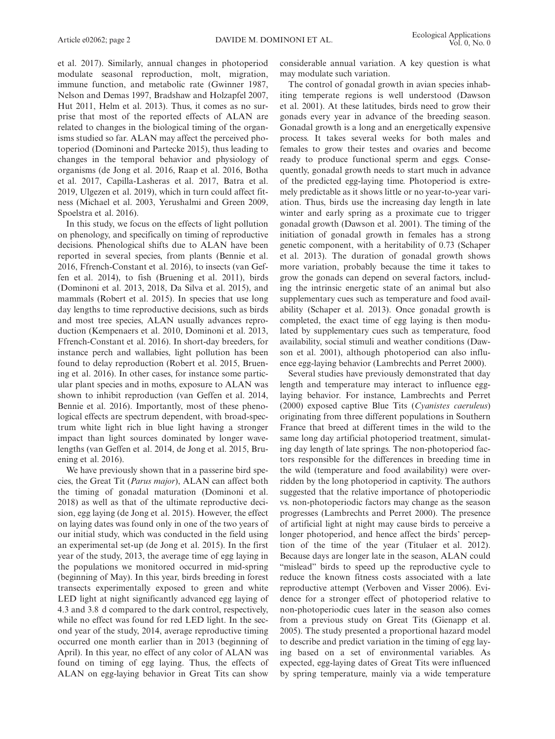et al. 2017). Similarly, annual changes in photoperiod modulate seasonal reproduction, molt, migration, immune function, and metabolic rate (Gwinner 1987, Nelson and Demas 1997, Bradshaw and Holzapfel 2007, Hut 2011, Helm et al. 2013). Thus, it comes as no surprise that most of the reported effects of ALAN are related to changes in the biological timing of the organisms studied so far. ALAN may affect the perceived photoperiod (Dominoni and Partecke 2015), thus leading to changes in the temporal behavior and physiology of organisms (de Jong et al. 2016, Raap et al. 2016, Botha et al. 2017, Capilla-Lasheras et al. 2017, Batra et al. 2019, Ulgezen et al. 2019), which in turn could affect fitness (Michael et al. 2003, Yerushalmi and Green 2009, Spoelstra et al. 2016).

In this study, we focus on the effects of light pollution on phenology, and specifically on timing of reproductive decisions. Phenological shifts due to ALAN have been reported in several species, from plants (Bennie et al. 2016, Ffrench-Constant et al. 2016), to insects (van Geffen et al. 2014), to fish (Bruening et al. 2011), birds (Dominoni et al. 2013, 2018, Da Silva et al. 2015), and mammals (Robert et al. 2015). In species that use long day lengths to time reproductive decisions, such as birds and most tree species, ALAN usually advances reproduction (Kempenaers et al. 2010, Dominoni et al. 2013, Ffrench-Constant et al. 2016). In short-day breeders, for instance perch and wallabies, light pollution has been found to delay reproduction (Robert et al. 2015, Bruening et al. 2016). In other cases, for instance some particular plant species and in moths, exposure to ALAN was shown to inhibit reproduction (van Geffen et al. 2014, Bennie et al. 2016). Importantly, most of these phenological effects are spectrum dependent, with broad-spectrum white light rich in blue light having a stronger impact than light sources dominated by longer wavelengths (van Geffen et al. 2014, de Jong et al. 2015, Bruening et al. 2016).

We have previously shown that in a passerine bird species, the Great Tit (Parus major), ALAN can affect both the timing of gonadal maturation (Dominoni et al. 2018) as well as that of the ultimate reproductive decision, egg laying (de Jong et al. 2015). However, the effect on laying dates was found only in one of the two years of our initial study, which was conducted in the field using an experimental set-up (de Jong et al. 2015). In the first year of the study, 2013, the average time of egg laying in the populations we monitored occurred in mid-spring (beginning of May). In this year, birds breeding in forest transects experimentally exposed to green and white LED light at night significantly advanced egg laying of 4.3 and 3.8 d compared to the dark control, respectively, while no effect was found for red LED light. In the second year of the study, 2014, average reproductive timing occurred one month earlier than in 2013 (beginning of April). In this year, no effect of any color of ALAN was found on timing of egg laying. Thus, the effects of ALAN on egg-laying behavior in Great Tits can show

considerable annual variation. A key question is what may modulate such variation.

The control of gonadal growth in avian species inhabiting temperate regions is well understood (Dawson et al. 2001). At these latitudes, birds need to grow their gonads every year in advance of the breeding season. Gonadal growth is a long and an energetically expensive process. It takes several weeks for both males and females to grow their testes and ovaries and become ready to produce functional sperm and eggs. Consequently, gonadal growth needs to start much in advance of the predicted egg-laying time. Photoperiod is extremely predictable as it shows little or no year-to-year variation. Thus, birds use the increasing day length in late winter and early spring as a proximate cue to trigger gonadal growth (Dawson et al. 2001). The timing of the initiation of gonadal growth in females has a strong genetic component, with a heritability of 0.73 (Schaper et al. 2013). The duration of gonadal growth shows more variation, probably because the time it takes to grow the gonads can depend on several factors, including the intrinsic energetic state of an animal but also supplementary cues such as temperature and food availability (Schaper et al. 2013). Once gonadal growth is completed, the exact time of egg laying is then modulated by supplementary cues such as temperature, food availability, social stimuli and weather conditions (Dawson et al. 2001), although photoperiod can also influence egg-laying behavior (Lambrechts and Perret 2000).

Several studies have previously demonstrated that day length and temperature may interact to influence egglaying behavior. For instance, Lambrechts and Perret (2000) exposed captive Blue Tits (Cyanistes caeruleus) originating from three different populations in Southern France that breed at different times in the wild to the same long day artificial photoperiod treatment, simulating day length of late springs. The non-photoperiod factors responsible for the differences in breeding time in the wild (temperature and food availability) were overridden by the long photoperiod in captivity. The authors suggested that the relative importance of photoperiodic vs. non-photoperiodic factors may change as the season progresses (Lambrechts and Perret 2000). The presence of artificial light at night may cause birds to perceive a longer photoperiod, and hence affect the birds' perception of the time of the year (Titulaer et al. 2012). Because days are longer late in the season, ALAN could "mislead" birds to speed up the reproductive cycle to reduce the known fitness costs associated with a late reproductive attempt (Verboven and Visser 2006). Evidence for a stronger effect of photoperiod relative to non-photoperiodic cues later in the season also comes from a previous study on Great Tits (Gienapp et al. 2005). The study presented a proportional hazard model to describe and predict variation in the timing of egg laying based on a set of environmental variables. As expected, egg-laying dates of Great Tits were influenced by spring temperature, mainly via a wide temperature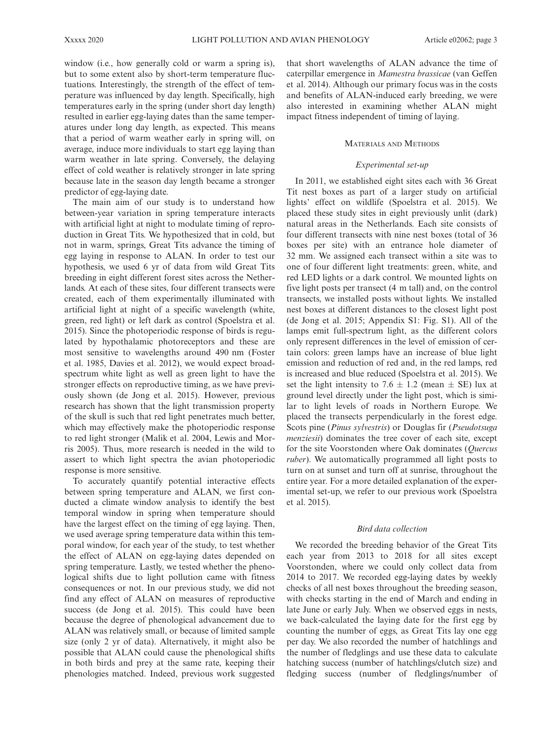window (i.e., how generally cold or warm a spring is), but to some extent also by short-term temperature fluctuations. Interestingly, the strength of the effect of temperature was influenced by day length. Specifically, high temperatures early in the spring (under short day length) resulted in earlier egg-laying dates than the same temperatures under long day length, as expected. This means that a period of warm weather early in spring will, on average, induce more individuals to start egg laying than warm weather in late spring. Conversely, the delaying effect of cold weather is relatively stronger in late spring because late in the season day length became a stronger predictor of egg-laying date.

The main aim of our study is to understand how between-year variation in spring temperature interacts with artificial light at night to modulate timing of reproduction in Great Tits. We hypothesized that in cold, but not in warm, springs, Great Tits advance the timing of egg laying in response to ALAN. In order to test our hypothesis, we used 6 yr of data from wild Great Tits breeding in eight different forest sites across the Netherlands. At each of these sites, four different transects were created, each of them experimentally illuminated with artificial light at night of a specific wavelength (white, green, red light) or left dark as control (Spoelstra et al. 2015). Since the photoperiodic response of birds is regulated by hypothalamic photoreceptors and these are most sensitive to wavelengths around 490 nm (Foster et al. 1985, Davies et al. 2012), we would expect broadspectrum white light as well as green light to have the stronger effects on reproductive timing, as we have previously shown (de Jong et al. 2015). However, previous research has shown that the light transmission property of the skull is such that red light penetrates much better, which may effectively make the photoperiodic response to red light stronger (Malik et al. 2004, Lewis and Morris 2005). Thus, more research is needed in the wild to assert to which light spectra the avian photoperiodic response is more sensitive.

To accurately quantify potential interactive effects between spring temperature and ALAN, we first conducted a climate window analysis to identify the best temporal window in spring when temperature should have the largest effect on the timing of egg laying. Then, we used average spring temperature data within this temporal window, for each year of the study, to test whether the effect of ALAN on egg-laying dates depended on spring temperature. Lastly, we tested whether the phenological shifts due to light pollution came with fitness consequences or not. In our previous study, we did not find any effect of ALAN on measures of reproductive success (de Jong et al. 2015). This could have been because the degree of phenological advancement due to ALAN was relatively small, or because of limited sample size (only 2 yr of data). Alternatively, it might also be possible that ALAN could cause the phenological shifts in both birds and prey at the same rate, keeping their phenologies matched. Indeed, previous work suggested that short wavelengths of ALAN advance the time of caterpillar emergence in Mamestra brassicae (van Geffen et al. 2014). Although our primary focus was in the costs and benefits of ALAN-induced early breeding, we were also interested in examining whether ALAN might impact fitness independent of timing of laying.

# MATERIALS AND METHODS

## Experimental set-up

In 2011, we established eight sites each with 36 Great Tit nest boxes as part of a larger study on artificial lights' effect on wildlife (Spoelstra et al. 2015). We placed these study sites in eight previously unlit (dark) natural areas in the Netherlands. Each site consists of four different transects with nine nest boxes (total of 36 boxes per site) with an entrance hole diameter of 32 mm. We assigned each transect within a site was to one of four different light treatments: green, white, and red LED lights or a dark control. We mounted lights on five light posts per transect (4 m tall) and, on the control transects, we installed posts without lights. We installed nest boxes at different distances to the closest light post (de Jong et al. 2015; Appendix S1: Fig. S1). All of the lamps emit full-spectrum light, as the different colors only represent differences in the level of emission of certain colors: green lamps have an increase of blue light emission and reduction of red and, in the red lamps, red is increased and blue reduced (Spoelstra et al. 2015). We set the light intensity to 7.6  $\pm$  1.2 (mean  $\pm$  SE) lux at ground level directly under the light post, which is similar to light levels of roads in Northern Europe. We placed the transects perpendicularly in the forest edge. Scots pine (Pinus sylvestris) or Douglas fir (Pseudotsuga menziesii) dominates the tree cover of each site, except for the site Voorstonden where Oak dominates (Quercus ruber). We automatically programmed all light posts to turn on at sunset and turn off at sunrise, throughout the entire year. For a more detailed explanation of the experimental set-up, we refer to our previous work (Spoelstra et al. 2015).

#### Bird data collection

We recorded the breeding behavior of the Great Tits each year from 2013 to 2018 for all sites except Voorstonden, where we could only collect data from 2014 to 2017. We recorded egg-laying dates by weekly checks of all nest boxes throughout the breeding season, with checks starting in the end of March and ending in late June or early July. When we observed eggs in nests, we back-calculated the laying date for the first egg by counting the number of eggs, as Great Tits lay one egg per day. We also recorded the number of hatchlings and the number of fledglings and use these data to calculate hatching success (number of hatchlings/clutch size) and fledging success (number of fledglings/number of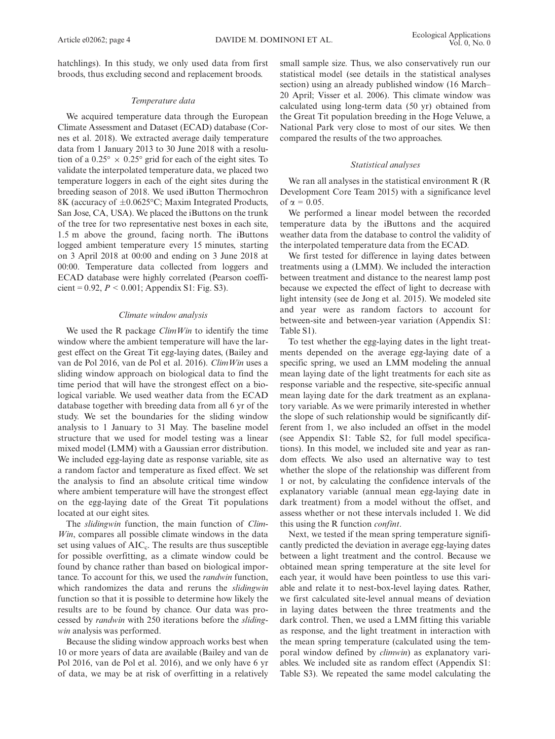hatchlings). In this study, we only used data from first broods, thus excluding second and replacement broods.

## Temperature data

We acquired temperature data through the European Climate Assessment and Dataset (ECAD) database (Cornes et al. 2018). We extracted average daily temperature data from 1 January 2013 to 30 June 2018 with a resolution of a  $0.25^{\circ} \times 0.25^{\circ}$  grid for each of the eight sites. To validate the interpolated temperature data, we placed two temperature loggers in each of the eight sites during the breeding season of 2018. We used iButton Thermochron 8K (accuracy of  $\pm 0.0625$ °C; Maxim Integrated Products, San Jose, CA, USA). We placed the iButtons on the trunk of the tree for two representative nest boxes in each site, 1.5 m above the ground, facing north. The iButtons logged ambient temperature every 15 minutes, starting on 3 April 2018 at 00:00 and ending on 3 June 2018 at 00:00. Temperature data collected from loggers and ECAD database were highly correlated (Pearson coefficient = 0.92,  $P < 0.001$ ; Appendix S1: Fig. S3).

#### Climate window analysis

We used the R package  $ClimWin$  to identify the time window where the ambient temperature will have the largest effect on the Great Tit egg-laying dates, (Bailey and van de Pol 2016, van de Pol et al. 2016). ClimWin uses a sliding window approach on biological data to find the time period that will have the strongest effect on a biological variable. We used weather data from the ECAD database together with breeding data from all 6 yr of the study. We set the boundaries for the sliding window analysis to 1 January to 31 May. The baseline model structure that we used for model testing was a linear mixed model (LMM) with a Gaussian error distribution. We included egg-laying date as response variable, site as a random factor and temperature as fixed effect. We set the analysis to find an absolute critical time window where ambient temperature will have the strongest effect on the egg-laying date of the Great Tit populations located at our eight sites.

The *slidingwin* function, the main function of Clim-Win, compares all possible climate windows in the data set using values of AIC<sub>c</sub>. The results are thus susceptible for possible overfitting, as a climate window could be found by chance rather than based on biological importance. To account for this, we used the randwin function, which randomizes the data and reruns the *slidingwin* function so that it is possible to determine how likely the results are to be found by chance. Our data was processed by randwin with 250 iterations before the slidingwin analysis was performed.

Because the sliding window approach works best when 10 or more years of data are available (Bailey and van de Pol 2016, van de Pol et al. 2016), and we only have 6 yr of data, we may be at risk of overfitting in a relatively

small sample size. Thus, we also conservatively run our statistical model (see details in the statistical analyses section) using an already published window (16 March– 20 April; Visser et al. 2006). This climate window was calculated using long-term data (50 yr) obtained from the Great Tit population breeding in the Hoge Veluwe, a National Park very close to most of our sites. We then compared the results of the two approaches.

## Statistical analyses

We ran all analyses in the statistical environment R (R) Development Core Team 2015) with a significance level of  $\alpha = 0.05$ .

We performed a linear model between the recorded temperature data by the iButtons and the acquired weather data from the database to control the validity of the interpolated temperature data from the ECAD.

We first tested for difference in laying dates between treatments using a (LMM). We included the interaction between treatment and distance to the nearest lamp post because we expected the effect of light to decrease with light intensity (see de Jong et al. 2015). We modeled site and year were as random factors to account for between-site and between-year variation (Appendix S1: Table S1).

To test whether the egg-laying dates in the light treatments depended on the average egg-laying date of a specific spring, we used an LMM modeling the annual mean laying date of the light treatments for each site as response variable and the respective, site-specific annual mean laying date for the dark treatment as an explanatory variable. As we were primarily interested in whether the slope of such relationship would be significantly different from 1, we also included an offset in the model (see Appendix S1: Table S2, for full model specifications). In this model, we included site and year as random effects. We also used an alternative way to test whether the slope of the relationship was different from 1 or not, by calculating the confidence intervals of the explanatory variable (annual mean egg-laying date in dark treatment) from a model without the offset, and assess whether or not these intervals included 1. We did this using the R function confint.

Next, we tested if the mean spring temperature significantly predicted the deviation in average egg-laying dates between a light treatment and the control. Because we obtained mean spring temperature at the site level for each year, it would have been pointless to use this variable and relate it to nest-box-level laying dates. Rather, we first calculated site-level annual means of deviation in laying dates between the three treatments and the dark control. Then, we used a LMM fitting this variable as response, and the light treatment in interaction with the mean spring temperature (calculated using the temporal window defined by climwin) as explanatory variables. We included site as random effect (Appendix S1: Table S3). We repeated the same model calculating the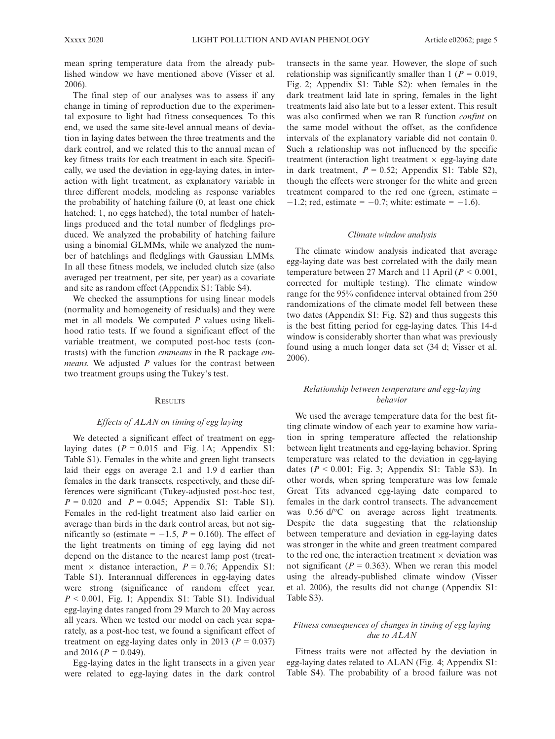mean spring temperature data from the already published window we have mentioned above (Visser et al. 2006).

The final step of our analyses was to assess if any change in timing of reproduction due to the experimental exposure to light had fitness consequences. To this end, we used the same site-level annual means of deviation in laying dates between the three treatments and the dark control, and we related this to the annual mean of key fitness traits for each treatment in each site. Specifically, we used the deviation in egg-laying dates, in interaction with light treatment, as explanatory variable in three different models, modeling as response variables the probability of hatching failure (0, at least one chick hatched; 1, no eggs hatched), the total number of hatchlings produced and the total number of fledglings produced. We analyzed the probability of hatching failure using a binomial GLMMs, while we analyzed the number of hatchlings and fledglings with Gaussian LMMs. In all these fitness models, we included clutch size (also averaged per treatment, per site, per year) as a covariate and site as random effect (Appendix S1: Table S4).

We checked the assumptions for using linear models (normality and homogeneity of residuals) and they were met in all models. We computed  $P$  values using likelihood ratio tests. If we found a significant effect of the variable treatment, we computed post-hoc tests (contrasts) with the function emmeans in the R package em*means.* We adjusted  $P$  values for the contrast between two treatment groups using the Tukey's test.

## **RESULTS**

## Effects of ALAN on timing of egg laying

We detected a significant effect of treatment on egglaying dates  $(P = 0.015$  and Fig. 1A; Appendix S1: Table S1). Females in the white and green light transects laid their eggs on average 2.1 and 1.9 d earlier than females in the dark transects, respectively, and these differences were significant (Tukey-adjusted post-hoc test,  $P = 0.020$  and  $P = 0.045$ ; Appendix S1: Table S1). Females in the red-light treatment also laid earlier on average than birds in the dark control areas, but not significantly so (estimate =  $-1.5$ ,  $P = 0.160$ ). The effect of the light treatments on timing of egg laying did not depend on the distance to the nearest lamp post (treatment  $\times$  distance interaction,  $P = 0.76$ ; Appendix S1: Table S1). Interannual differences in egg-laying dates were strong (significance of random effect year,  $P < 0.001$ , Fig. 1; Appendix S1: Table S1). Individual egg-laying dates ranged from 29 March to 20 May across all years. When we tested our model on each year separately, as a post-hoc test, we found a significant effect of treatment on egg-laying dates only in 2013 ( $P = 0.037$ ) and 2016 ( $P = 0.049$ ).

Egg-laying dates in the light transects in a given year were related to egg-laying dates in the dark control transects in the same year. However, the slope of such relationship was significantly smaller than 1 ( $P = 0.019$ , Fig. 2; Appendix S1: Table S2): when females in the dark treatment laid late in spring, females in the light treatments laid also late but to a lesser extent. This result was also confirmed when we ran R function *confint* on the same model without the offset, as the confidence intervals of the explanatory variable did not contain 0. Such a relationship was not influenced by the specific treatment (interaction light treatment  $\times$  egg-laying date in dark treatment,  $P = 0.52$ ; Appendix S1: Table S2), though the effects were stronger for the white and green treatment compared to the red one (green, estimate =  $-1.2$ ; red, estimate =  $-0.7$ ; white: estimate =  $-1.6$ ).

#### Climate window analysis

The climate window analysis indicated that average egg-laying date was best correlated with the daily mean temperature between 27 March and 11 April ( $P < 0.001$ , corrected for multiple testing). The climate window range for the 95% confidence interval obtained from 250 randomizations of the climate model fell between these two dates (Appendix S1: Fig. S2) and thus suggests this is the best fitting period for egg-laying dates. This 14-d window is considerably shorter than what was previously found using a much longer data set (34 d; Visser et al. 2006).

# Relationship between temperature and egg-laying behavior

We used the average temperature data for the best fitting climate window of each year to examine how variation in spring temperature affected the relationship between light treatments and egg-laying behavior. Spring temperature was related to the deviation in egg-laying dates ( $P < 0.001$ ; Fig. 3; Appendix S1: Table S3). In other words, when spring temperature was low female Great Tits advanced egg-laying date compared to females in the dark control transects. The advancement was 0.56 d/°C on average across light treatments. Despite the data suggesting that the relationship between temperature and deviation in egg-laying dates was stronger in the white and green treatment compared to the red one, the interaction treatment  $\times$  deviation was not significant ( $P = 0.363$ ). When we reran this model using the already-published climate window (Visser et al. 2006), the results did not change (Appendix S1: Table S3).

# Fitness consequences of changes in timing of egg laying due to ALAN

Fitness traits were not affected by the deviation in egg-laying dates related to ALAN (Fig. 4; Appendix S1: Table S4). The probability of a brood failure was not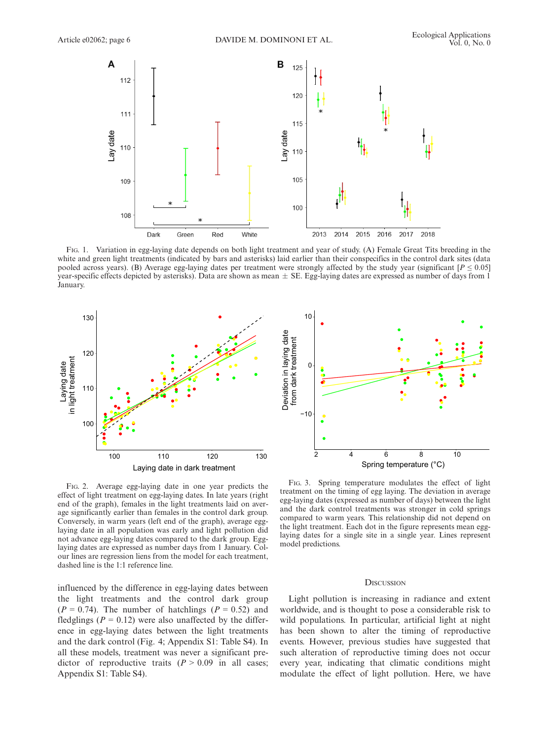

FIG. 1. Variation in egg-laying date depends on both light treatment and year of study. (A) Female Great Tits breeding in the white and green light treatments (indicated by bars and asterisks) laid earlier than their conspecifics in the control dark sites (data pooled across years). (B) Average egg-laying dates per treatment were strongly affected by the study year (significant  $[P \le 0.05]$ year-specific effects depicted by asterisks). Data are shown as mean  $\pm$  SE. Egg-laying dates are expressed as number of days from 1 January.





FIG. 2. Average egg-laying date in one year predicts the effect of light treatment on egg-laying dates. In late years (right end of the graph), females in the light treatments laid on average significantly earlier than females in the control dark group. Conversely, in warm years (left end of the graph), average egglaying date in all population was early and light pollution did not advance egg-laying dates compared to the dark group. Egglaying dates are expressed as number days from 1 January. Colour lines are regression liens from the model for each treatment, dashed line is the 1:1 reference line.

influenced by the difference in egg-laying dates between the light treatments and the control dark group  $(P = 0.74)$ . The number of hatchlings  $(P = 0.52)$  and fledglings ( $P = 0.12$ ) were also unaffected by the difference in egg-laying dates between the light treatments and the dark control (Fig. 4; Appendix S1: Table S4). In all these models, treatment was never a significant predictor of reproductive traits  $(P > 0.09$  in all cases; Appendix S1: Table S4).

FIG. 3. Spring temperature modulates the effect of light treatment on the timing of egg laying. The deviation in average egg-laying dates (expressed as number of days) between the light and the dark control treatments was stronger in cold springs compared to warm years. This relationship did not depend on the light treatment. Each dot in the figure represents mean egglaying dates for a single site in a single year. Lines represent model predictions.

#### **DISCUSSION**

Light pollution is increasing in radiance and extent worldwide, and is thought to pose a considerable risk to wild populations. In particular, artificial light at night has been shown to alter the timing of reproductive events. However, previous studies have suggested that such alteration of reproductive timing does not occur every year, indicating that climatic conditions might modulate the effect of light pollution. Here, we have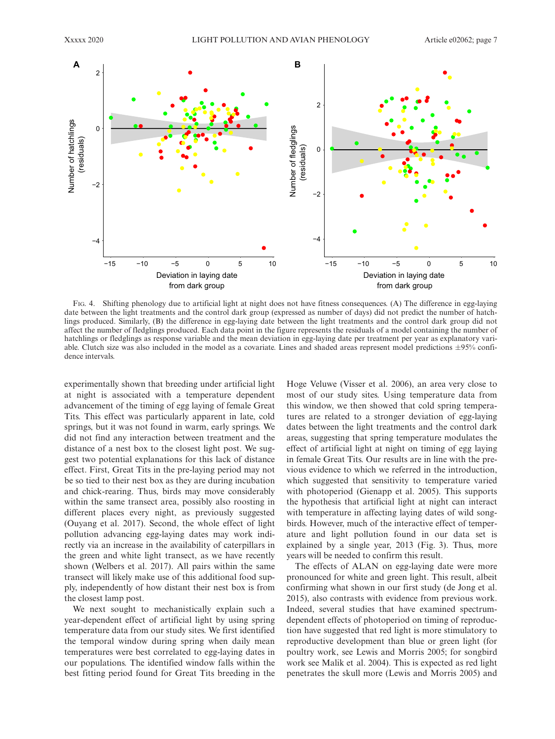

FIG. 4. Shifting phenology due to artificial light at night does not have fitness consequences. (A) The difference in egg-laying date between the light treatments and the control dark group (expressed as number of days) did not predict the number of hatchlings produced. Similarly, (B) the difference in egg-laying date between the light treatments and the control dark group did not affect the number of fledglings produced. Each data point in the figure represents the residuals of a model containing the number of hatchlings or fledglings as response variable and the mean deviation in egg-laying date per treatment per year as explanatory variable. Clutch size was also included in the model as a covariate. Lines and shaded areas represent model predictions  $\pm$ 95% confidence intervals.

experimentally shown that breeding under artificial light at night is associated with a temperature dependent advancement of the timing of egg laying of female Great Tits. This effect was particularly apparent in late, cold springs, but it was not found in warm, early springs. We did not find any interaction between treatment and the distance of a nest box to the closest light post. We suggest two potential explanations for this lack of distance effect. First, Great Tits in the pre-laying period may not be so tied to their nest box as they are during incubation and chick-rearing. Thus, birds may move considerably within the same transect area, possibly also roosting in different places every night, as previously suggested (Ouyang et al. 2017). Second, the whole effect of light pollution advancing egg-laying dates may work indirectly via an increase in the availability of caterpillars in the green and white light transect, as we have recently shown (Welbers et al. 2017). All pairs within the same transect will likely make use of this additional food supply, independently of how distant their nest box is from the closest lamp post.

We next sought to mechanistically explain such a year-dependent effect of artificial light by using spring temperature data from our study sites. We first identified the temporal window during spring when daily mean temperatures were best correlated to egg-laying dates in our populations. The identified window falls within the best fitting period found for Great Tits breeding in the Hoge Veluwe (Visser et al. 2006), an area very close to most of our study sites. Using temperature data from this window, we then showed that cold spring temperatures are related to a stronger deviation of egg-laying dates between the light treatments and the control dark areas, suggesting that spring temperature modulates the effect of artificial light at night on timing of egg laying in female Great Tits. Our results are in line with the previous evidence to which we referred in the introduction, which suggested that sensitivity to temperature varied with photoperiod (Gienapp et al. 2005). This supports the hypothesis that artificial light at night can interact with temperature in affecting laying dates of wild songbirds. However, much of the interactive effect of temperature and light pollution found in our data set is explained by a single year, 2013 (Fig. 3). Thus, more years will be needed to confirm this result.

The effects of ALAN on egg-laying date were more pronounced for white and green light. This result, albeit confirming what shown in our first study (de Jong et al. 2015), also contrasts with evidence from previous work. Indeed, several studies that have examined spectrumdependent effects of photoperiod on timing of reproduction have suggested that red light is more stimulatory to reproductive development than blue or green light (for poultry work, see Lewis and Morris 2005; for songbird work see Malik et al. 2004). This is expected as red light penetrates the skull more (Lewis and Morris 2005) and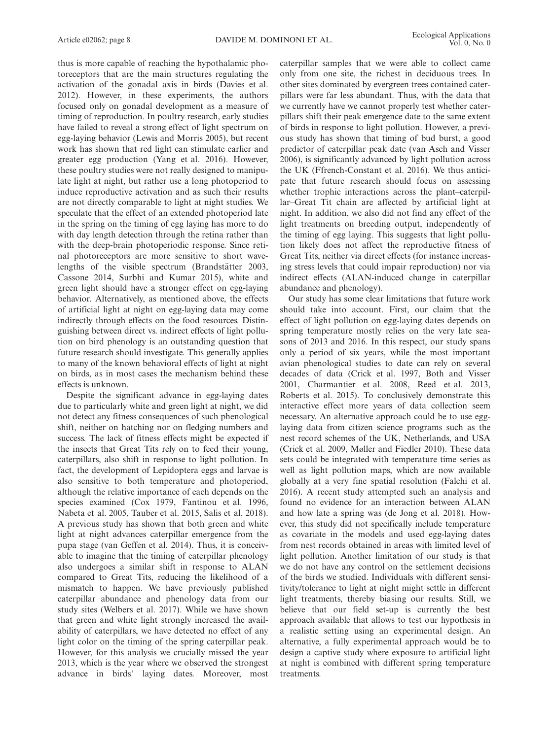thus is more capable of reaching the hypothalamic photoreceptors that are the main structures regulating the activation of the gonadal axis in birds (Davies et al. 2012). However, in these experiments, the authors focused only on gonadal development as a measure of timing of reproduction. In poultry research, early studies have failed to reveal a strong effect of light spectrum on egg-laying behavior (Lewis and Morris 2005), but recent work has shown that red light can stimulate earlier and greater egg production (Yang et al. 2016). However, these poultry studies were not really designed to manipulate light at night, but rather use a long photoperiod to induce reproductive activation and as such their results are not directly comparable to light at night studies. We speculate that the effect of an extended photoperiod late in the spring on the timing of egg laying has more to do with day length detection through the retina rather than with the deep-brain photoperiodic response. Since retinal photoreceptors are more sensitive to short wavelengths of the visible spectrum (Brandstätter 2003, Cassone 2014, Surbhi and Kumar 2015), white and green light should have a stronger effect on egg-laying behavior. Alternatively, as mentioned above, the effects of artificial light at night on egg-laying data may come indirectly through effects on the food resources. Distinguishing between direct vs. indirect effects of light pollution on bird phenology is an outstanding question that future research should investigate. This generally applies to many of the known behavioral effects of light at night on birds, as in most cases the mechanism behind these effects is unknown.

Despite the significant advance in egg-laying dates due to particularly white and green light at night, we did not detect any fitness consequences of such phenological shift, neither on hatching nor on fledging numbers and success. The lack of fitness effects might be expected if the insects that Great Tits rely on to feed their young, caterpillars, also shift in response to light pollution. In fact, the development of Lepidoptera eggs and larvae is also sensitive to both temperature and photoperiod, although the relative importance of each depends on the species examined (Cox 1979, Fantinou et al. 1996, Nabeta et al. 2005, Tauber et al. 2015, Salis et al. 2018). A previous study has shown that both green and white light at night advances caterpillar emergence from the pupa stage (van Geffen et al. 2014). Thus, it is conceivable to imagine that the timing of caterpillar phenology also undergoes a similar shift in response to ALAN compared to Great Tits, reducing the likelihood of a mismatch to happen. We have previously published caterpillar abundance and phenology data from our study sites (Welbers et al. 2017). While we have shown that green and white light strongly increased the availability of caterpillars, we have detected no effect of any light color on the timing of the spring caterpillar peak. However, for this analysis we crucially missed the year 2013, which is the year where we observed the strongest advance in birds' laying dates. Moreover, most

caterpillar samples that we were able to collect came only from one site, the richest in deciduous trees. In other sites dominated by evergreen trees contained caterpillars were far less abundant. Thus, with the data that we currently have we cannot properly test whether caterpillars shift their peak emergence date to the same extent of birds in response to light pollution. However, a previous study has shown that timing of bud burst, a good predictor of caterpillar peak date (van Asch and Visser 2006), is significantly advanced by light pollution across the UK (Ffrench-Constant et al. 2016). We thus anticipate that future research should focus on assessing whether trophic interactions across the plant–caterpillar–Great Tit chain are affected by artificial light at night. In addition, we also did not find any effect of the light treatments on breeding output, independently of the timing of egg laying. This suggests that light pollution likely does not affect the reproductive fitness of Great Tits, neither via direct effects (for instance increasing stress levels that could impair reproduction) nor via indirect effects (ALAN-induced change in caterpillar abundance and phenology).

Our study has some clear limitations that future work should take into account. First, our claim that the effect of light pollution on egg-laying dates depends on spring temperature mostly relies on the very late seasons of 2013 and 2016. In this respect, our study spans only a period of six years, while the most important avian phenological studies to date can rely on several decades of data (Crick et al. 1997, Both and Visser 2001, Charmantier et al. 2008, Reed et al. 2013, Roberts et al. 2015). To conclusively demonstrate this interactive effect more years of data collection seem necessary. An alternative approach could be to use egglaying data from citizen science programs such as the nest record schemes of the UK, Netherlands, and USA (Crick et al. 2009, Møller and Fiedler 2010). These data sets could be integrated with temperature time series as well as light pollution maps, which are now available globally at a very fine spatial resolution (Falchi et al. 2016). A recent study attempted such an analysis and found no evidence for an interaction between ALAN and how late a spring was (de Jong et al. 2018). However, this study did not specifically include temperature as covariate in the models and used egg-laying dates from nest records obtained in areas with limited level of light pollution. Another limitation of our study is that we do not have any control on the settlement decisions of the birds we studied. Individuals with different sensitivity/tolerance to light at night might settle in different light treatments, thereby biasing our results. Still, we believe that our field set-up is currently the best approach available that allows to test our hypothesis in a realistic setting using an experimental design. An alternative, a fully experimental approach would be to design a captive study where exposure to artificial light at night is combined with different spring temperature treatments.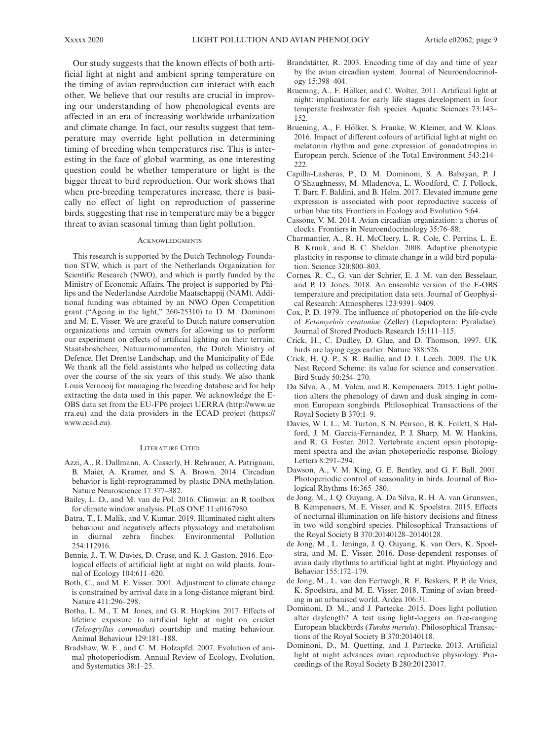Our study suggests that the known effects of both artificial light at night and ambient spring temperature on the timing of avian reproduction can interact with each other. We believe that our results are crucial in improving our understanding of how phenological events are affected in an era of increasing worldwide urbanization and climate change. In fact, our results suggest that temperature may override light pollution in determining timing of breeding when temperatures rise. This is interesting in the face of global warming, as one interesting question could be whether temperature or light is the bigger threat to bird reproduction. Our work shows that when pre-breeding temperatures increase, there is basically no effect of light on reproduction of passerine birds, suggesting that rise in temperature may be a bigger threat to avian seasonal timing than light pollution.

#### ACKNOWLEDGMENTS

This research is supported by the Dutch Technology Foundation STW, which is part of the Netherlands Organization for Scientific Research (NWO), and which is partly funded by the Ministry of Economic Affairs. The project is supported by Philips and the Nederlandse Aardolie Maatschappij (NAM). Additional funding was obtained by an NWO Open Competition grant ("Ageing in the light," 260-25310) to D. M. Dominoni and M. E. Visser. We are grateful to Dutch nature conservation organizations and terrain owners for allowing us to perform our experiment on effects of artificial lighting on their terrain; Staatsbosbeheer, Natuurmonumenten, the Dutch Ministry of Defence, Het Drentse Landschap, and the Municipality of Ede. We thank all the field assistants who helped us collecting data over the course of the six years of this study. We also thank Louis Vernooij for managing the breeding database and for help extracting the data used in this paper. We acknowledge the E-OBS data set from the EU-FP6 project UERRA ([http://www.ue](http://www.uerra.eu) [rra.eu\)](http://www.uerra.eu) and the data providers in the ECAD project [\(https://](https://www.ecad.eu) [www.ecad.eu\)](https://www.ecad.eu).

### LITERATURE CITED

- Azzi, A., R. Dallmann, A. Casserly, H. Rehrauer, A. Patrignani, B. Maier, A. Kramer, and S. A. Brown. 2014. Circadian behavior is light-reprogrammed by plastic DNA methylation. Nature Neuroscience 17:377–382.
- Bailey, L. D., and M. van de Pol. 2016. Climwin: an R toolbox for climate window analysis. PLoS ONE 11:e0167980.
- Batra, T., I. Malik, and V. Kumar. 2019. Illuminated night alters behaviour and negatively affects physiology and metabolism in diurnal zebra finches. Environmental Pollution 254:112916.
- Bennie, J., T. W. Davies, D. Cruse, and K. J. Gaston. 2016. Ecological effects of artificial light at night on wild plants. Journal of Ecology 104:611–620.
- Both, C., and M. E. Visser. 2001. Adjustment to climate change is constrained by arrival date in a long-distance migrant bird. Nature 411:296–298.
- Botha, L. M., T. M. Jones, and G. R. Hopkins. 2017. Effects of lifetime exposure to artificial light at night on cricket (Teleogryllus commodus) courtship and mating behaviour. Animal Behaviour 129:181–188.
- Bradshaw, W. E., and C. M. Holzapfel. 2007. Evolution of animal photoperiodism. Annual Review of Ecology, Evolution, and Systematics 38:1–25.
- Brandstätter, R. 2003. Encoding time of day and time of year by the avian circadian system. Journal of Neuroendocrinology 15:398–404.
- Bruening, A., F. Hölker, and C. Wolter. 2011. Artificial light at night: implications for early life stages development in four temperate freshwater fish species. Aquatic Sciences 73:143– 152.
- Bruening, A., F. Hölker, S. Franke, W. Kleiner, and W. Kloas. 2016. Impact of different colours of artificial light at night on melatonin rhythm and gene expression of gonadotropins in European perch. Science of the Total Environment 543:214– 222.
- Capilla-Lasheras, P., D. M. Dominoni, S. A. Babayan, P. J. O'Shaughnessy, M. Mladenova, L. Woodford, C. J. Pollock, T. Barr, F. Baldini, and B. Helm. 2017. Elevated immune gene expression is associated with poor reproductive success of urban blue tits. Frontiers in Ecology and Evolution 5:64.
- Cassone, V. M. 2014. Avian circadian organization: a chorus of clocks. Frontiers in Neuroendocrinology 35:76–88.
- Charmantier, A., R. H. McCleery, L. R. Cole, C. Perrins, L. E. B. Kruuk, and B. C. Sheldon. 2008. Adaptive phenotypic plasticity in response to climate change in a wild bird population. Science 320:800–803.
- Cornes, R. C., G. van der Schrier, E. J. M. van den Besselaar, and P. D. Jones. 2018. An ensemble version of the E-OBS temperature and precipitation data sets. Journal of Geophysical Research: Atmospheres 123:9391–9409.
- Cox, P. D. 1979. The influence of photoperiod on the life-cycle of Ectomyelois ceratoniae (Zeller) (Lepidoptera: Pyralidae). Journal of Stored Products Research 15:111–115.
- Crick, H., C. Dudley, D. Glue, and D. Thomson. 1997. UK birds are laying eggs earlier. Nature 388:526.
- Crick, H. Q. P., S. R. Baillie, and D. I. Leech. 2009. The UK Nest Record Scheme: its value for science and conservation. Bird Study 50:254–270.
- Da Silva, A., M. Valcu, and B. Kempenaers. 2015. Light pollution alters the phenology of dawn and dusk singing in common European songbirds. Philosophical Transactions of the Royal Society B 370:1–9.
- Davies, W. I. L., M. Turton, S. N. Peirson, B. K. Follett, S. Halford, J. M. Garcia-Fernandez, P. J. Sharp, M. W. Hankins, and R. G. Foster. 2012. Vertebrate ancient opsin photopigment spectra and the avian photoperiodic response. Biology Letters 8:291–294.
- Dawson, A., V. M. King, G. E. Bentley, and G. F. Ball. 2001. Photoperiodic control of seasonality in birds. Journal of Biological Rhythms 16:365–380.
- de Jong, M., J. Q. Ouyang, A. Da Silva, R. H. A. van Grunsven, B. Kempenaers, M. E. Visser, and K. Spoelstra. 2015. Effects of nocturnal illumination on life-history decisions and fitness in two wild songbird species. Philosophical Transactions of the Royal Society B 370:20140128–20140128.
- de Jong, M., L. Jeninga, J. Q. Ouyang, K. van Oers, K. Spoelstra, and M. E. Visser. 2016. Dose-dependent responses of avian daily rhythms to artificial light at night. Physiology and Behavior 155:172–179.
- de Jong, M., L. van den Eertwegh, R. E. Beskers, P. P. de Vries, K. Spoelstra, and M. E. Visser. 2018. Timing of avian breeding in an urbanised world. Ardea 106:31.
- Dominoni, D. M., and J. Partecke. 2015. Does light pollution alter daylength? A test using light-loggers on free-ranging European blackbirds (Turdus merula). Philosophical Transactions of the Royal Society B 370:20140118.
- Dominoni, D., M. Quetting, and J. Partecke. 2013. Artificial light at night advances avian reproductive physiology. Proceedings of the Royal Society B 280:20123017.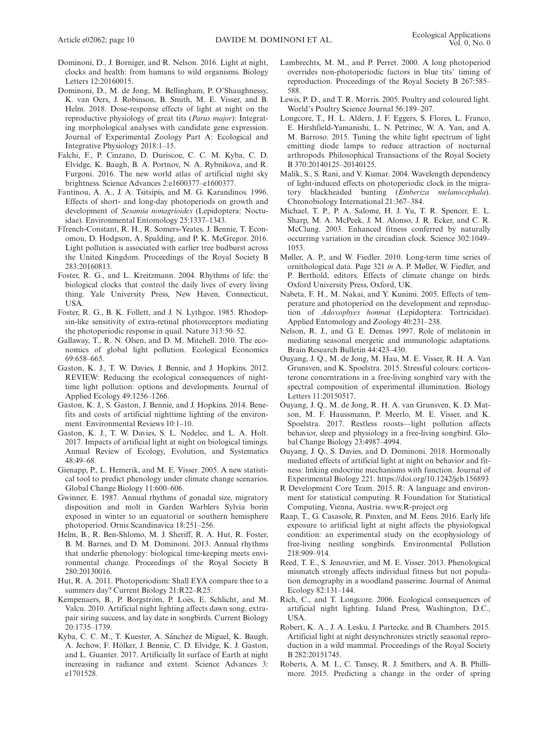- Dominoni, D., J. Borniger, and R. Nelson. 2016. Light at night, clocks and health: from humans to wild organisms. Biology Letters 12:20160015.
- Dominoni, D., M. de Jong, M. Bellingham, P. O'Shaughnessy, K. van Oers, J. Robinson, B. Smith, M. E. Visser, and B. Helm. 2018. Dose-response effects of light at night on the reproductive physiology of great tits (Parus major): Integrating morphological analyses with candidate gene expression. Journal of Experimental Zoology Part A: Ecological and Integrative Physiology 2018:1–15.
- Falchi, F., P. Cinzano, D. Duriscoe, C. C. M. Kyba, C. D. Elvidge, K. Baugh, B. A. Portnov, N. A. Rybnikova, and R. Furgoni. 2016. The new world atlas of artificial night sky brightness. Science Advances 2:e1600377–e1600377.
- Fantinou, A. A., J. A. Tsitsipis, and M. G. Karandinos. 1996. Effects of short- and long-day photoperiods on growth and development of Sesamia nonagrioides (Lepidoptera: Noctuidae). Environmental Entomology 25:1337–1343.
- Ffrench-Constant, R. H., R. Somers-Yeates, J. Bennie, T. Economou, D. Hodgson, A. Spalding, and P. K. McGregor. 2016. Light pollution is associated with earlier tree budburst across the United Kingdom. Proceedings of the Royal Society B 283:20160813.
- Foster, R. G., and L. Kreitzmann. 2004. Rhythms of life: the biological clocks that control the daily lives of every living thing. Yale University Press, New Haven, Connecticut, USA.
- Foster, R. G., B. K. Follett, and J. N. Lythgoe. 1985. Rhodopsin-like sensitivity of extra-retinal photoreceptors mediating the photoperiodic response in quail. Nature 313:50–52.
- Gallaway, T., R. N. Olsen, and D. M. Mitchell. 2010. The economics of global light pollution. Ecological Economics 69:658–665.
- Gaston, K. J., T. W. Davies, J. Bennie, and J. Hopkins. 2012. REVIEW: Reducing the ecological consequences of nighttime light pollution: options and developments. Journal of Applied Ecology 49:1256–1266.
- Gaston, K. J., S. Gaston, J. Bennie, and J. Hopkins. 2014. Benefits and costs of artificial nighttime lighting of the environment. Environmental Reviews 10:1–10.
- Gaston, K. J., T. W. Davies, S. L. Nedelec, and L. A. Holt. 2017. Impacts of artificial light at night on biological timings. Annual Review of Ecology, Evolution, and Systematics 48:49–68.
- Gienapp, P., L. Hemerik, and M. E. Visser. 2005. A new statistical tool to predict phenology under climate change scenarios. Global Change Biology 11:600–606.
- Gwinner, E. 1987. Annual rhythms of gonadal size, migratory disposition and molt in Garden Warblers Sylvia borin exposed in winter to an equatorial or southern hemisphere photoperiod. Ornis Scandinavica 18:251–256.
- Helm, B., R. Ben-Shlomo, M. J. Sheriff, R. A. Hut, R. Foster, B. M. Barnes, and D. M. Dominoni. 2013. Annual rhythms that underlie phenology: biological time-keeping meets environmental change. Proceedings of the Royal Society B 280:20130016.
- Hut, R. A. 2011. Photoperiodism: Shall EYA compare thee to a summers day? Current Biology 21:R22–R25.
- Kempenaers, B., P. Borgström, P. Loës, E. Schlicht, and M. Valcu. 2010. Artificial night lighting affects dawn song, extrapair siring success, and lay date in songbirds. Current Biology 20:1735–1739.
- Kyba, C. C. M., T. Kuester, A. Sánchez de Miguel, K. Baugh, A. Jechow, F. Hölker, J. Bennie, C. D. Elvidge, K. J. Gaston, and L. Guanter. 2017. Artificially lit surface of Earth at night increasing in radiance and extent. Science Advances 3: e1701528.
- Lambrechts, M. M., and P. Perret. 2000. A long photoperiod overrides non-photoperiodic factors in blue tits' timing of reproduction. Proceedings of the Royal Society B 267:585– 588.
- Lewis, P. D., and T. R. Morris. 2005. Poultry and coloured light. World's Poultry Science Journal 56:189–207.
- Longcore, T., H. L. Aldern, J. F. Eggers, S. Flores, L. Franco, E. Hirshfield-Yamanishi, L. N. Petrinec, W. A. Yan, and A. M. Barroso. 2015. Tuning the white light spectrum of light emitting diode lamps to reduce attraction of nocturnal arthropods. Philosophical Transactions of the Royal Society B 370:20140125–20140125.
- Malik, S., S. Rani, and V. Kumar. 2004. Wavelength dependency of light-induced effects on photoperiodic clock in the migratory blackheaded bunting (Emberiza melanocephala). Chronobiology International 21:367–384.
- Michael, T. P., P. A. Salome, H. J. Yu, T. R. Spencer, E. L. Sharp, M. A. McPeek, J. M. Alonso, J. R. Ecker, and C. R. McClung. 2003. Enhanced fitness conferred by naturally occurring variation in the circadian clock. Science 302:1049– 1053.
- Møller, A. P., and W. Fiedler. 2010. Long-term time series of ornithological data. Page 321 in A. P. Møller, W. Fiedler, and P. Berthold, editors. Effects of climate change on birds. Oxford University Press, Oxford, UK.
- Nabeta, F. H., M. Nakai, and Y. Kunimi. 2005. Effects of temperature and photoperiod on the development and reproduction of Adoxophyes honmai (Lepidoptera: Tortricidae). Applied Entomology and Zoology 40:231–238.
- Nelson, R. J., and G. E. Demas. 1997. Role of melatonin in mediating seasonal energetic and immunologic adaptations. Brain Research Bulletin 44:423–430.
- Ouyang, J. Q., M. de Jong, M. Hau, M. E. Visser, R. H. A. Van Grunsven, and K. Spoelstra. 2015. Stressful colours: corticosterone concentrations in a free-living songbird vary with the spectral composition of experimental illumination. Biology Letters 11:20150517.
- Ouyang, J. Q., M. de Jong, R. H. A. van Grunsven, K. D. Matson, M. F. Haussmann, P. Meerlo, M. E. Visser, and K. Spoelstra. 2017. Restless roosts—light pollution affects behavior, sleep and physiology in a free-living songbird. Global Change Biology 23:4987–4994.
- Ouyang, J. Q., S. Davies, and D. Dominoni. 2018. Hormonally mediated effects of artificial light at night on behavior and fitness: linking endocrine mechanisms with function. Journal of Experimental Biology 221.<https://doi.org/10.1242/jeb.156893>
- R Development Core Team. 2015. R: A language and environment for statistical computing. R Foundation for Statistical Computing, Vienna, Austria. [www.R-project.org](http://www.R-project.org)
- Raap, T., G. Casasole, R. Pinxten, and M. Eens. 2016. Early life exposure to artificial light at night affects the physiological condition: an experimental study on the ecophysiology of free-living nestling songbirds. Environmental Pollution 218:909–914.
- Reed, T. E., S. Jenouvrier, and M. E. Visser. 2013. Phenological mismatch strongly affects individual fitness but not population demography in a woodland passerine. Journal of Animal Ecology 82:131–144.
- Rich, C., and T. Longcore. 2006. Ecological consequences of artificial night lighting. Island Press, Washington, D.C., USA.
- Robert, K. A., J. A. Lesku, J. Partecke, and B. Chambers. 2015. Artificial light at night desynchronizes strictly seasonal reproduction in a wild mammal. Proceedings of the Royal Society B 282:20151745.
- Roberts, A. M. I., C. Tansey, R. J. Smithers, and A. B. Phillimore. 2015. Predicting a change in the order of spring